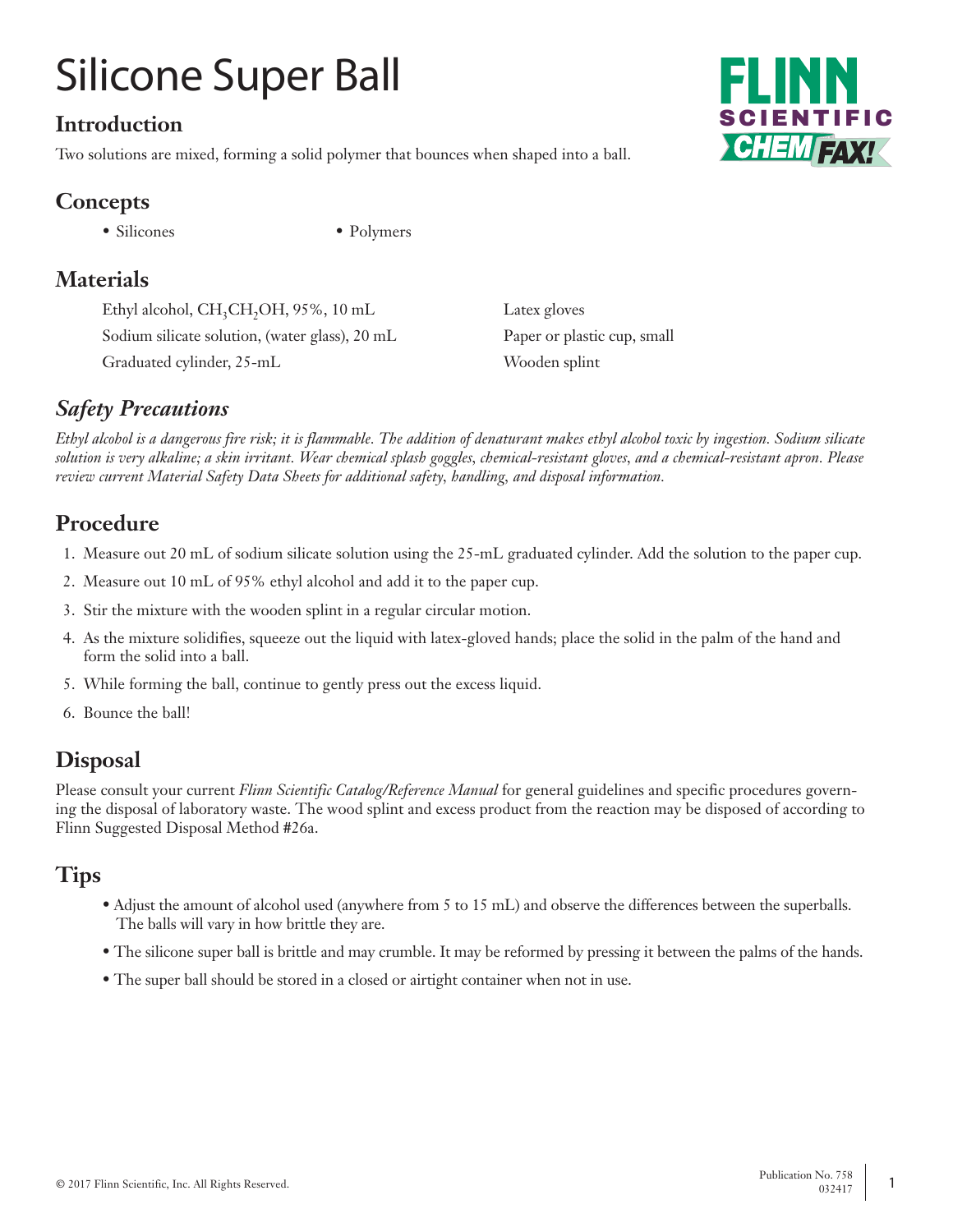# Silicone Super Ball

## **Introduction**

Two solutions are mixed, forming a solid polymer that bounces when shaped into a ball.



# **Concepts**

• Silicones • Polymers

# **Materials**

Ethyl alcohol, CH<sub>3</sub>CH<sub>2</sub>OH, 95%, 10 mL Latex gloves Sodium silicate solution, (water glass), 20 mL Paper or plastic cup, small Graduated cylinder, 25-mL Wooden splint

## *Safety Precautions*

*Ethyl alcohol is a dangerous fire risk; it is flammable. The addition of denaturant makes ethyl alcohol toxic by ingestion. Sodium silicate solution is very alkaline; a skin irritant. Wear chemical splash goggles, chemical-resistant gloves, and a chemical-resistant apron. Please review current Material Safety Data Sheets for additional safety, handling, and disposal information.*

# **Procedure**

- 1. Measure out 20 mL of sodium silicate solution using the 25-mL graduated cylinder. Add the solution to the paper cup.
- 2. Measure out 10 mL of 95% ethyl alcohol and add it to the paper cup.
- 3. Stir the mixture with the wooden splint in a regular circular motion.
- 4. As the mixture solidifies, squeeze out the liquid with latex-gloved hands; place the solid in the palm of the hand and form the solid into a ball.
- 5. While forming the ball, continue to gently press out the excess liquid.
- 6. Bounce the ball!

# **Disposal**

Please consult your current *Flinn Scientific Catalog/Reference Manual* for general guidelines and specific procedures governing the disposal of laboratory waste. The wood splint and excess product from the reaction may be disposed of according to Flinn Suggested Disposal Method #26a.

## **Tips**

- Adjust the amount of alcohol used (anywhere from 5 to 15 mL) and observe the differences between the superballs. The balls will vary in how brittle they are.
- The silicone super ball is brittle and may crumble. It may be reformed by pressing it between the palms of the hands.
- The super ball should be stored in a closed or airtight container when not in use.